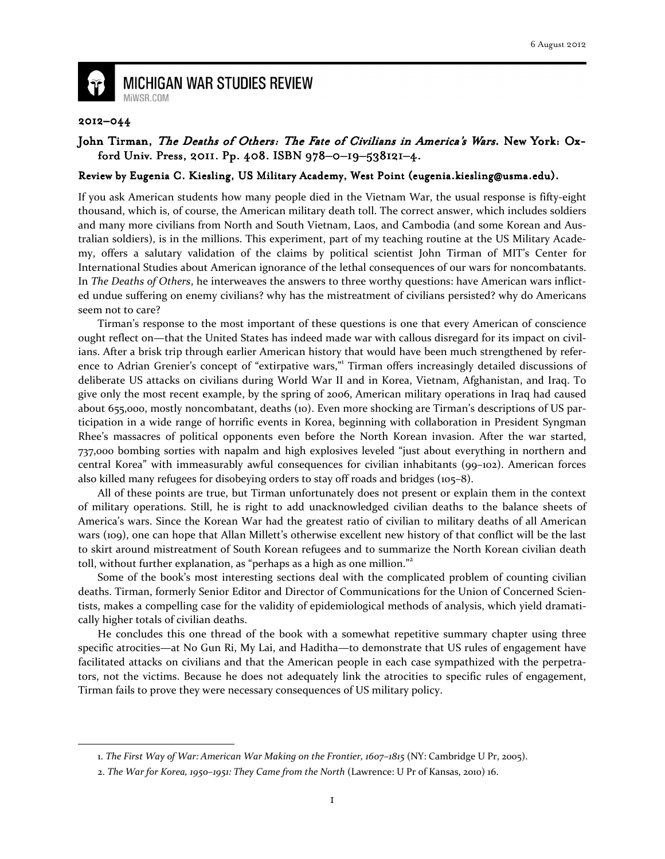

 $\overline{\phantom{0}}$ 

**MICHIGAN WAR STUDIES REVIEW** MiWSR.COM

## 2012–044

## John Tirman, The Deaths of Others: The Fate of Civilians in America's Wars. New York: Oxford Univ. Press, 2011. Pp. 408. ISBN 978-0-19-538121-4.

## Review by Eugenia C. Kiesling, US Military Academy, West Point (eugenia.kiesling@usma.edu).

If you ask American students how many people died in the Vietnam War, the usual response is fifty-eight thousand, which is, of course, the American military death toll. The correct answer, which includes soldiers and many more civilians from North and South Vietnam, Laos, and Cambodia (and some Korean and Australian soldiers), is in the millions. This experiment, part of my teaching routine at the US Military Academy, offers a salutary validation of the claims by political scientist John Tirman of MIT's Center for International Studies about American ignorance of the lethal consequences of our wars for noncombatants. In The Deaths of Others, he interweaves the answers to three worthy questions: have American wars inflicted undue suffering on enemy civilians? why has the mistreatment of civilians persisted? why do Americans seem not to care?

Tirman's response to the most important of these questions is one that every American of conscience ought reflect on—that the United States has indeed made war with callous disregard for its impact on civilians. After a brisk trip through earlier American history that would have been much strengthened by reference to Adrian Grenier's concept of "extirpative wars," Tirman offers increasingly detailed discussions of deliberate US attacks on civilians during World War II and in Korea, Vietnam, Afghanistan, and Iraq. To give only the most recent example, by the spring of 2006, American military operations in Iraq had caused about 655,000, mostly noncombatant, deaths (10). Even more shocking are Tirman's descriptions of US participation in a wide range of horrific events in Korea, beginning with collaboration in President Syngman Rhee's massacres of political opponents even before the North Korean invasion. After the war started, 737,000 bombing sorties with napalm and high explosives leveled "just about everything in northern and central Korea" with immeasurably awful consequences for civilian inhabitants (99–102). American forces also killed many refugees for disobeying orders to stay off roads and bridges (105–8).

All of these points are true, but Tirman unfortunately does not present or explain them in the context of military operations. Still, he is right to add unacknowledged civilian deaths to the balance sheets of America's wars. Since the Korean War had the greatest ratio of civilian to military deaths of all American wars (109), one can hope that Allan Millett's otherwise excellent new history of that conflict will be the last to skirt around mistreatment of South Korean refugees and to summarize the North Korean civilian death toll, without further explanation, as "perhaps as a high as one million."<sup>2</sup>

Some of the book's most interesting sections deal with the complicated problem of counting civilian deaths. Tirman, formerly Senior Editor and Director of Communications for the Union of Concerned Scientists, makes a compelling case for the validity of epidemiological methods of analysis, which yield dramatically higher totals of civilian deaths.

He concludes this one thread of the book with a somewhat repetitive summary chapter using three specific atrocities—at No Gun Ri, My Lai, and Haditha—to demonstrate that US rules of engagement have facilitated attacks on civilians and that the American people in each case sympathized with the perpetrators, not the victims. Because he does not adequately link the atrocities to specific rules of engagement, Tirman fails to prove they were necessary consequences of US military policy.

<sup>1.</sup> The First Way of War: American War Making on the Frontier, 1607–1815 (NY: Cambridge U Pr, 2005).

<sup>2.</sup> The War for Korea, 1950–1951: They Came from the North (Lawrence: U Pr of Kansas, 2010) 16.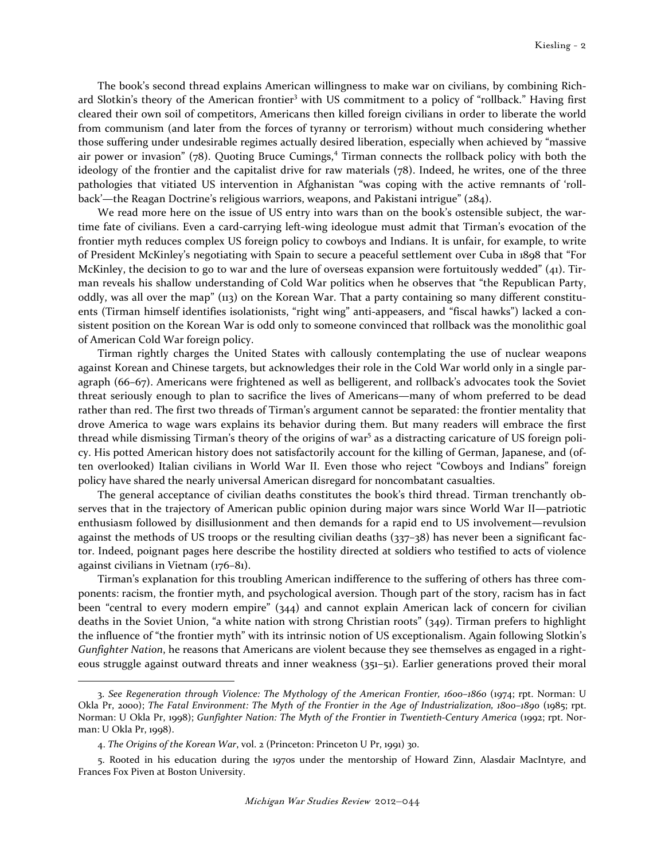The book's second thread explains American willingness to make war on civilians, by combining Richard Slotkin's theory of the American frontier<sup>3</sup> with US commitment to a policy of "rollback." Having first cleared their own soil of competitors, Americans then killed foreign civilians in order to liberate the world from communism (and later from the forces of tyranny or terrorism) without much considering whether those suffering under undesirable regimes actually desired liberation, especially when achieved by "massive air power or invasion" (78). Quoting Bruce Cumings,<sup>4</sup> Tirman connects the rollback policy with both the ideology of the frontier and the capitalist drive for raw materials (78). Indeed, he writes, one of the three pathologies that vitiated US intervention in Afghanistan "was coping with the active remnants of 'rollback'—the Reagan Doctrine's religious warriors, weapons, and Pakistani intrigue" (284).

We read more here on the issue of US entry into wars than on the book's ostensible subject, the wartime fate of civilians. Even a card-carrying left-wing ideologue must admit that Tirman's evocation of the frontier myth reduces complex US foreign policy to cowboys and Indians. It is unfair, for example, to write of President McKinley's negotiating with Spain to secure a peaceful settlement over Cuba in 1898 that "For McKinley, the decision to go to war and the lure of overseas expansion were fortuitously wedded" (41). Tirman reveals his shallow understanding of Cold War politics when he observes that "the Republican Party, oddly, was all over the map" (113) on the Korean War. That a party containing so many different constituents (Tirman himself identifies isolationists, "right wing" anti-appeasers, and "fiscal hawks") lacked a consistent position on the Korean War is odd only to someone convinced that rollback was the monolithic goal of American Cold War foreign policy.

Tirman rightly charges the United States with callously contemplating the use of nuclear weapons against Korean and Chinese targets, but acknowledges their role in the Cold War world only in a single paragraph (66–67). Americans were frightened as well as belligerent, and rollback's advocates took the Soviet threat seriously enough to plan to sacrifice the lives of Americans—many of whom preferred to be dead rather than red. The first two threads of Tirman's argument cannot be separated: the frontier mentality that drove America to wage wars explains its behavior during them. But many readers will embrace the first thread while dismissing Tirman's theory of the origins of war<sup>5</sup> as a distracting caricature of US foreign policy. His potted American history does not satisfactorily account for the killing of German, Japanese, and (often overlooked) Italian civilians in World War II. Even those who reject "Cowboys and Indians" foreign policy have shared the nearly universal American disregard for noncombatant casualties.

The general acceptance of civilian deaths constitutes the book's third thread. Tirman trenchantly observes that in the trajectory of American public opinion during major wars since World War II—patriotic enthusiasm followed by disillusionment and then demands for a rapid end to US involvement—revulsion against the methods of US troops or the resulting civilian deaths (337–38) has never been a significant factor. Indeed, poignant pages here describe the hostility directed at soldiers who testified to acts of violence against civilians in Vietnam (176–81).

 Tirman's explanation for this troubling American indifference to the suffering of others has three components: racism, the frontier myth, and psychological aversion. Though part of the story, racism has in fact been "central to every modern empire" (344) and cannot explain American lack of concern for civilian deaths in the Soviet Union, "a white nation with strong Christian roots" (349). Tirman prefers to highlight the influence of "the frontier myth" with its intrinsic notion of US exceptionalism. Again following Slotkin's Gunfighter Nation, he reasons that Americans are violent because they see themselves as engaged in a righteous struggle against outward threats and inner weakness (351–51). Earlier generations proved their moral

<sup>3.</sup> See Regeneration through Violence: The Mythology of the American Frontier, 1600–1860 (1974; rpt. Norman: U Okla Pr, 2000); The Fatal Environment: The Myth of the Frontier in the Age of Industrialization, 1800–1890 (1985; rpt. Norman: U Okla Pr, 1998); Gunfighter Nation: The Myth of the Frontier in Twentieth-Century America (1992; rpt. Norman: U Okla Pr, 1998).

<sup>4.</sup> The Origins of the Korean War, vol. 2 (Princeton: Princeton U Pr, 1991) 30.

<sup>5.</sup> Rooted in his education during the 1970s under the mentorship of Howard Zinn, Alasdair MacIntyre, and Frances Fox Piven at Boston University.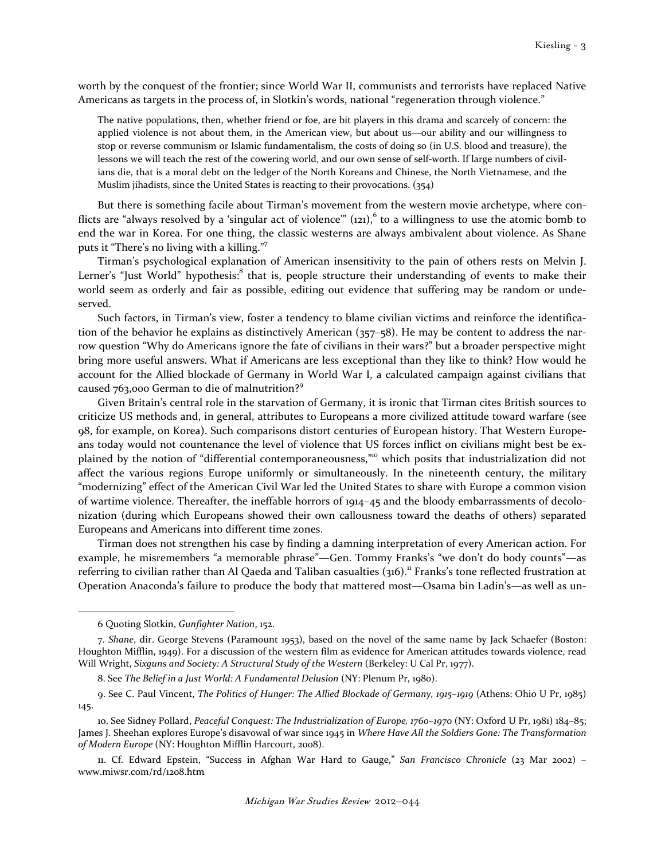worth by the conquest of the frontier; since World War II, communists and terrorists have replaced Native Americans as targets in the process of, in Slotkin's words, national "regeneration through violence."

The native populations, then, whether friend or foe, are bit players in this drama and scarcely of concern: the applied violence is not about them, in the American view, but about us—our ability and our willingness to stop or reverse communism or Islamic fundamentalism, the costs of doing so (in U.S. blood and treasure), the lessons we will teach the rest of the cowering world, and our own sense of self-worth. If large numbers of civilians die, that is a moral debt on the ledger of the North Koreans and Chinese, the North Vietnamese, and the Muslim jihadists, since the United States is reacting to their provocations. (354)

 But there is something facile about Tirman's movement from the western movie archetype, where conflicts are "always resolved by a 'singular act of violence'"  $(121)$ ,  $6$  to a willingness to use the atomic bomb to end the war in Korea. For one thing, the classic westerns are always ambivalent about violence. As Shane puts it "There's no living with a killing."<sup>7</sup>

 Tirman's psychological explanation of American insensitivity to the pain of others rests on Melvin J. Lerner's "Just World" hypothesis:<sup>8</sup> that is, people structure their understanding of events to make their world seem as orderly and fair as possible, editing out evidence that suffering may be random or undeserved.

 Such factors, in Tirman's view, foster a tendency to blame civilian victims and reinforce the identification of the behavior he explains as distinctively American (357–58). He may be content to address the narrow question "Why do Americans ignore the fate of civilians in their wars?" but a broader perspective might bring more useful answers. What if Americans are less exceptional than they like to think? How would he account for the Allied blockade of Germany in World War I, a calculated campaign against civilians that caused 763,000 German to die of malnutrition?<sup>9</sup>

 Given Britain's central role in the starvation of Germany, it is ironic that Tirman cites British sources to criticize US methods and, in general, attributes to Europeans a more civilized attitude toward warfare (see 98, for example, on Korea). Such comparisons distort centuries of European history. That Western Europeans today would not countenance the level of violence that US forces inflict on civilians might best be explained by the notion of "differential contemporaneousness,"<sup>10</sup> which posits that industrialization did not affect the various regions Europe uniformly or simultaneously. In the nineteenth century, the military "modernizing" effect of the American Civil War led the United States to share with Europe a common vision of wartime violence. Thereafter, the ineffable horrors of 1914–45 and the bloody embarrassments of decolonization (during which Europeans showed their own callousness toward the deaths of others) separated Europeans and Americans into different time zones.

 Tirman does not strengthen his case by finding a damning interpretation of every American action. For example, he misremembers "a memorable phrase"—Gen. Tommy Franks's "we don't do body counts"—as referring to civilian rather than Al Qaeda and Taliban casualties (316).<sup>11</sup> Franks's tone reflected frustration at Operation Anaconda's failure to produce the body that mattered most—Osama bin Ladin's—as well as un-

<sup>6</sup> Quoting Slotkin, Gunfighter Nation, 152.

<sup>7.</sup> Shane, dir. George Stevens (Paramount 1953), based on the novel of the same name by Jack Schaefer (Boston: Houghton Mifflin, 1949). For a discussion of the western film as evidence for American attitudes towards violence, read Will Wright, Sixguns and Society: A Structural Study of the Western (Berkeley: U Cal Pr, 1977).

<sup>8.</sup> See The Belief in a Just World: A Fundamental Delusion (NY: Plenum Pr, 1980).

<sup>9.</sup> See C. Paul Vincent, The Politics of Hunger: The Allied Blockade of Germany, 1915–1919 (Athens: Ohio U Pr, 1985) 145.

<sup>10.</sup> See Sidney Pollard, Peaceful Conquest: The Industrialization of Europe, 1760–1970 (NY: Oxford U Pr, 1981) 184–85; James J. Sheehan explores Europe's disavowal of war since 1945 in Where Have All the Soldiers Gone: The Transformation of Modern Europe (NY: Houghton Mifflin Harcourt, 2008).

<sup>11.</sup> Cf. Edward Epstein, "Success in Afghan War Hard to Gauge," San Francisco Chronicle (23 Mar 2002) – www.miwsr.com/rd/1208.htm .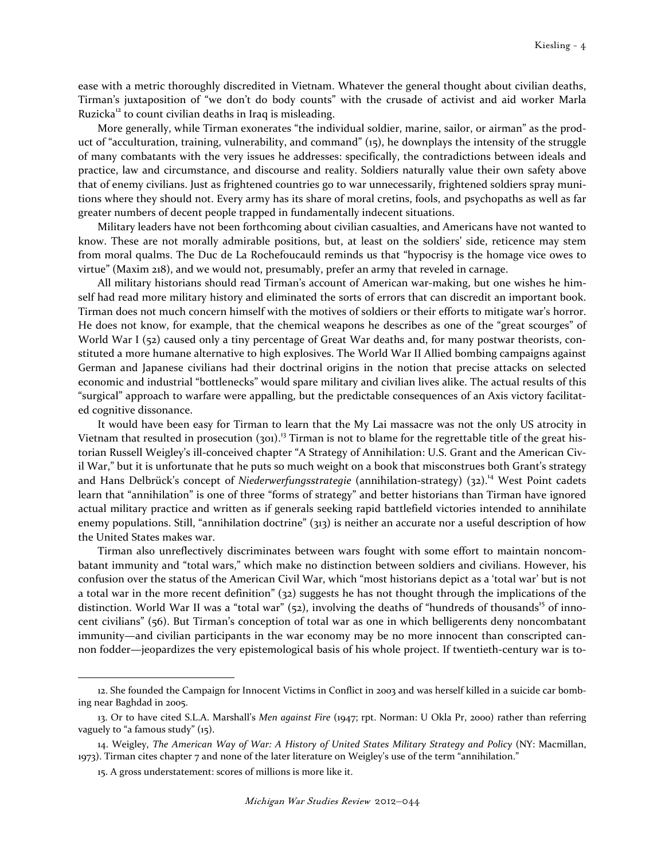ease with a metric thoroughly discredited in Vietnam. Whatever the general thought about civilian deaths, Tirman's juxtaposition of "we don't do body counts" with the crusade of activist and aid worker Marla Ruzicka<sup>12</sup> to count civilian deaths in Iraq is misleading.

More generally, while Tirman exonerates "the individual soldier, marine, sailor, or airman" as the product of "acculturation, training, vulnerability, and command" (15), he downplays the intensity of the struggle of many combatants with the very issues he addresses: specifically, the contradictions between ideals and practice, law and circumstance, and discourse and reality. Soldiers naturally value their own safety above that of enemy civilians. Just as frightened countries go to war unnecessarily, frightened soldiers spray munitions where they should not. Every army has its share of moral cretins, fools, and psychopaths as well as far greater numbers of decent people trapped in fundamentally indecent situations.

Military leaders have not been forthcoming about civilian casualties, and Americans have not wanted to know. These are not morally admirable positions, but, at least on the soldiers' side, reticence may stem from moral qualms. The Duc de La Rochefoucauld reminds us that "hypocrisy is the homage vice owes to virtue" (Maxim 218), and we would not, presumably, prefer an army that reveled in carnage.

All military historians should read Tirman's account of American war-making, but one wishes he himself had read more military history and eliminated the sorts of errors that can discredit an important book. Tirman does not much concern himself with the motives of soldiers or their efforts to mitigate war's horror. He does not know, for example, that the chemical weapons he describes as one of the "great scourges" of World War I (52) caused only a tiny percentage of Great War deaths and, for many postwar theorists, constituted a more humane alternative to high explosives. The World War II Allied bombing campaigns against German and Japanese civilians had their doctrinal origins in the notion that precise attacks on selected economic and industrial "bottlenecks" would spare military and civilian lives alike. The actual results of this "surgical" approach to warfare were appalling, but the predictable consequences of an Axis victory facilitated cognitive dissonance.

 It would have been easy for Tirman to learn that the My Lai massacre was not the only US atrocity in Vietnam that resulted in prosecution (301).<sup>13</sup> Tirman is not to blame for the regrettable title of the great historian Russell Weigley's ill-conceived chapter "A Strategy of Annihilation: U.S. Grant and the American Civil War," but it is unfortunate that he puts so much weight on a book that misconstrues both Grant's strategy and Hans Delbrück's concept of Niederwerfungsstrategie (annihilation-strategy)  $(32)$ .<sup>14</sup> West Point cadets learn that "annihilation" is one of three "forms of strategy" and better historians than Tirman have ignored actual military practice and written as if generals seeking rapid battlefield victories intended to annihilate enemy populations. Still, "annihilation doctrine" (313) is neither an accurate nor a useful description of how the United States makes war.

 Tirman also unreflectively discriminates between wars fought with some effort to maintain noncombatant immunity and "total wars," which make no distinction between soldiers and civilians. However, his confusion over the status of the American Civil War, which "most historians depict as a 'total war' but is not a total war in the more recent definition" (32) suggests he has not thought through the implications of the distinction. World War II was a "total war" (52), involving the deaths of "hundreds of thousands<sup>15</sup> of innocent civilians" (56). But Tirman's conception of total war as one in which belligerents deny noncombatant immunity—and civilian participants in the war economy may be no more innocent than conscripted cannon fodder—jeopardizes the very epistemological basis of his whole project. If twentieth-century war is to-

<sup>12.</sup> She founded the Campaign for Innocent Victims in Conflict in 2003 and was herself killed in a suicide car bombing near Baghdad in 2005.

<sup>13.</sup> Or to have cited S.L.A. Marshall's Men against Fire (1947; rpt. Norman: U Okla Pr, 2000) rather than referring vaguely to "a famous study" (15).

<sup>14.</sup> Weigley, The American Way of War: A History of United States Military Strategy and Policy (NY: Macmillan, 1973). Tirman cites chapter 7 and none of the later literature on Weigley's use of the term "annihilation."

<sup>15.</sup> A gross understatement: scores of millions is more like it.